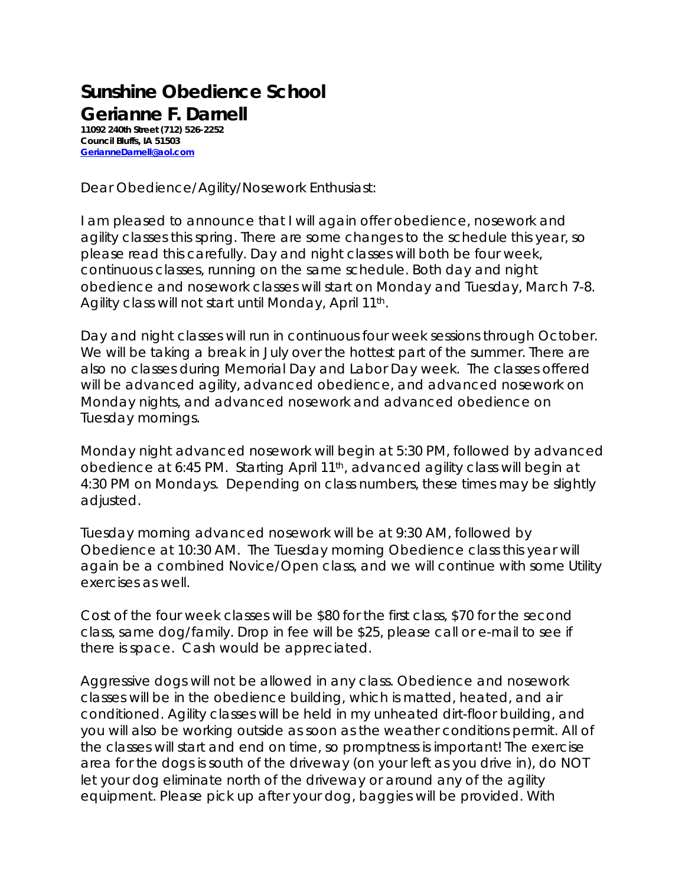## **Sunshine Obedience School Gerianne F. Darnell**

**11092 240th Street (712) 526-2252 Council Bluffs, IA 51503 [GerianneDarnell@aol.com](mailto:GerianneDarnell@aol.com)**

Dear Obedience/Agility/Nosework Enthusiast:

I am pleased to announce that I will again offer obedience, nosework and agility classes this spring. There are some changes to the schedule this year, so please read this carefully. Day and night classes will both be four week, continuous classes, running on the same schedule. Both day and night obedience and nosework classes will start on Monday and Tuesday, March 7-8. Agility class will not start until Monday, April 11<sup>th</sup>.

Day and night classes will run in continuous four week sessions through October. We will be taking a break in July over the hottest part of the summer. There are also no classes during Memorial Day and Labor Day week. The classes offered will be advanced agility, advanced obedience, and advanced nosework on Monday nights, and advanced nosework and advanced obedience on Tuesday mornings.

Monday night advanced nosework will begin at 5:30 PM, followed by advanced obedience at 6:45 PM. Starting April 11<sup>th</sup>, advanced agility class will begin at 4:30 PM on Mondays. Depending on class numbers, these times may be slightly adjusted.

Tuesday morning advanced nosework will be at 9:30 AM, followed by Obedience at 10:30 AM. The Tuesday morning Obedience class this year will again be a combined Novice/Open class, and we will continue with some Utility exercises as well.

Cost of the four week classes will be \$80 for the first class, \$70 for the second class, same dog/family. Drop in fee will be \$25, please call or e-mail to see if there is space. Cash would be appreciated.

Aggressive dogs will not be allowed in any class. Obedience and nosework classes will be in the obedience building, which is matted, heated, and air conditioned. Agility classes will be held in my unheated dirt-floor building, and you will also be working outside as soon as the weather conditions permit. All of the classes will start and end on time, so promptness is important! The exercise area for the dogs is south of the driveway (on your left as you drive in), do NOT let your dog eliminate north of the driveway or around any of the agility equipment. Please pick up after your dog, baggies will be provided. With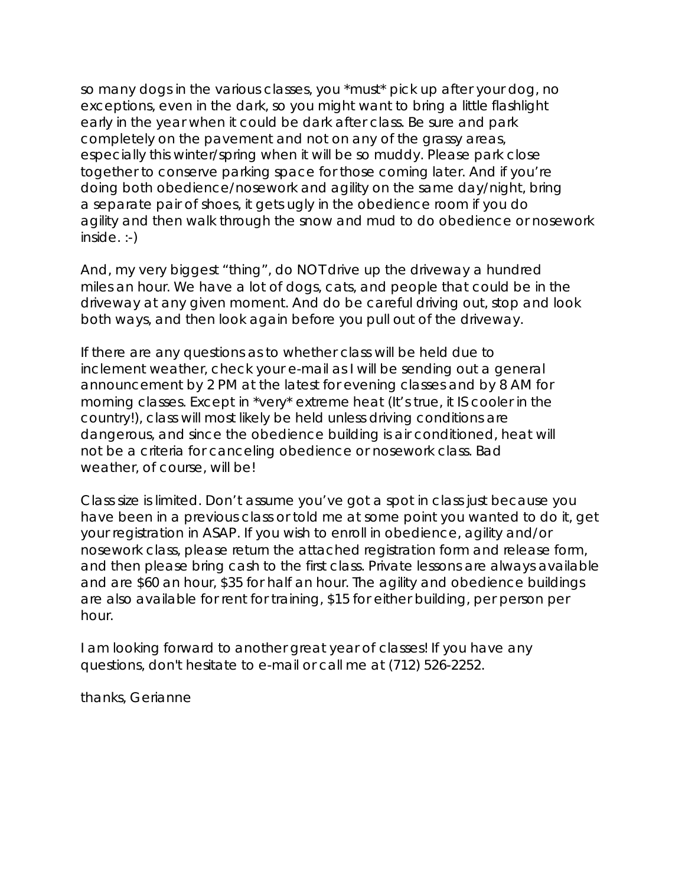so many dogs in the various classes, you \*must\* pick up after your dog, no exceptions, even in the dark, so you might want to bring a little flashlight early in the year when it could be dark after class. Be sure and park completely on the pavement and not on any of the grassy areas, especially this winter/spring when it will be so muddy. Please park close together to conserve parking space for those coming later. And if you're doing both obedience/nosework and agility on the same day/night, bring a separate pair of shoes, it gets ugly in the obedience room if you do agility and then walk through the snow and mud to do obedience or nosework inside. :-)

And, my very biggest "thing", do NOT drive up the driveway a hundred miles an hour. We have a lot of dogs, cats, and people that could be in the driveway at any given moment. And do be careful driving out, stop and look both ways, and then look again before you pull out of the driveway.

If there are any questions as to whether class will be held due to inclement weather, check your e-mail as I will be sending out a general announcement by 2 PM at the latest for evening classes and by 8 AM for morning classes. Except in \*very\* extreme heat (It's true, it IS cooler in the country!), class will most likely be held unless driving conditions are dangerous, and since the obedience building is air conditioned, heat will not be a criteria for canceling obedience or nosework class. Bad weather, of course, will be!

Class size is limited. Don't assume you've got a spot in class just because you have been in a previous class or told me at some point you wanted to do it, get your registration in ASAP. If you wish to enroll in obedience, agility and/or nosework class, please return the attached registration form and release form, and then please bring cash to the first class. Private lessons are always available and are \$60 an hour, \$35 for half an hour. The agility and obedience buildings are also available for rent for training, \$15 for either building, per person per hour.

I am looking forward to another great year of classes! If you have any questions, don't hesitate to e-mail or call me at (712) 526-2252.

thanks, Gerianne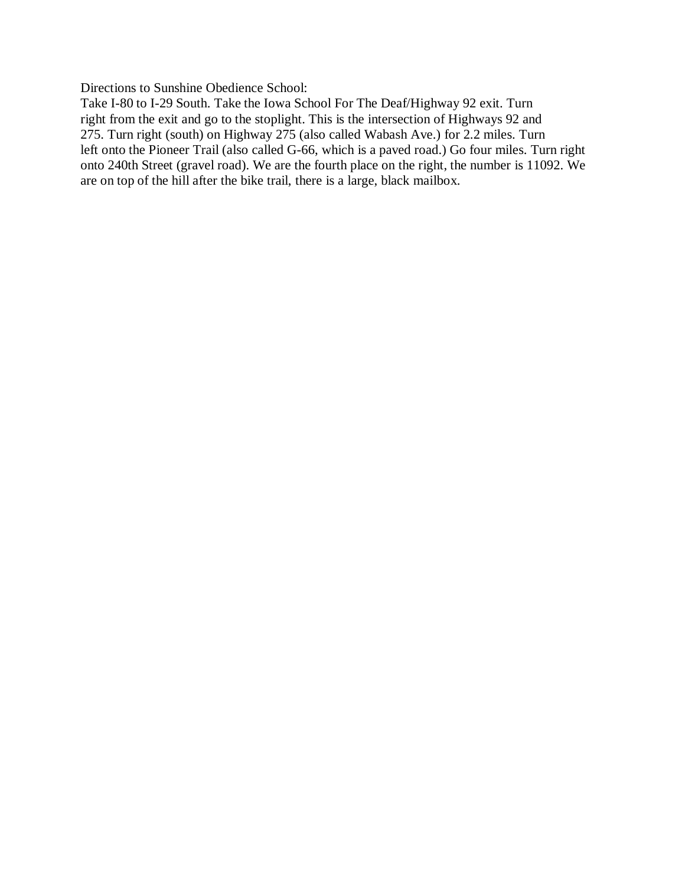Directions to Sunshine Obedience School:

Take I-80 to I-29 South. Take the Iowa School For The Deaf/Highway 92 exit. Turn right from the exit and go to the stoplight. This is the intersection of Highways 92 and 275. Turn right (south) on Highway 275 (also called Wabash Ave.) for 2.2 miles. Turn left onto the Pioneer Trail (also called G-66, which is a paved road.) Go four miles. Turn right onto 240th Street (gravel road). We are the fourth place on the right, the number is 11092. We are on top of the hill after the bike trail, there is a large, black mailbox.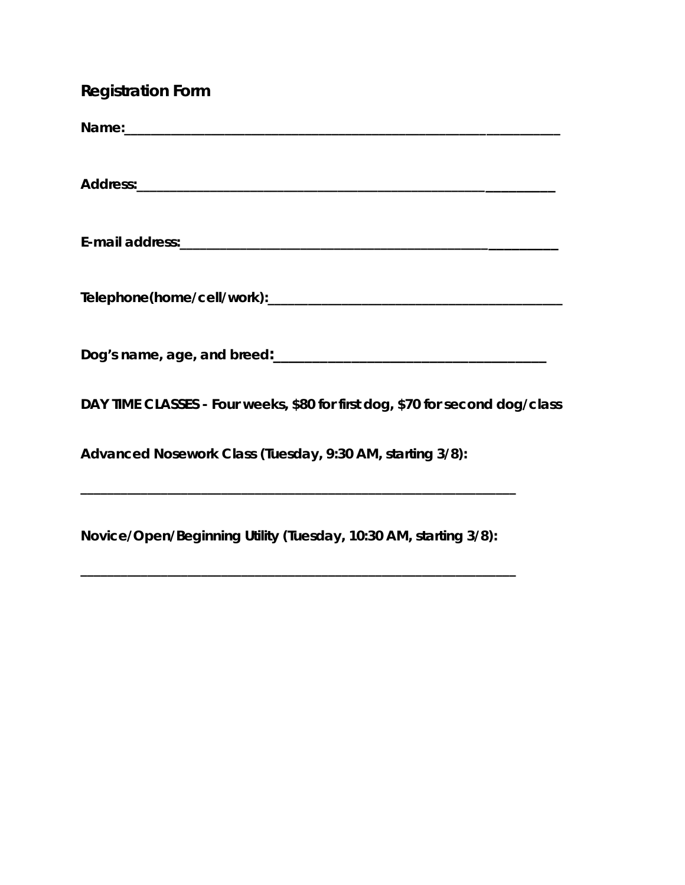| <b>Registration Form</b>                                                     |  |
|------------------------------------------------------------------------------|--|
|                                                                              |  |
|                                                                              |  |
|                                                                              |  |
|                                                                              |  |
|                                                                              |  |
| DAY TIME CLASSES - Four weeks, \$80 for first dog, \$70 for second dog/class |  |
| Advanced Nosework Class (Tuesday, 9:30 AM, starting 3/8):                    |  |
| Novice/Open/Beginning Utility (Tuesday, 10:30 AM, starting 3/8):             |  |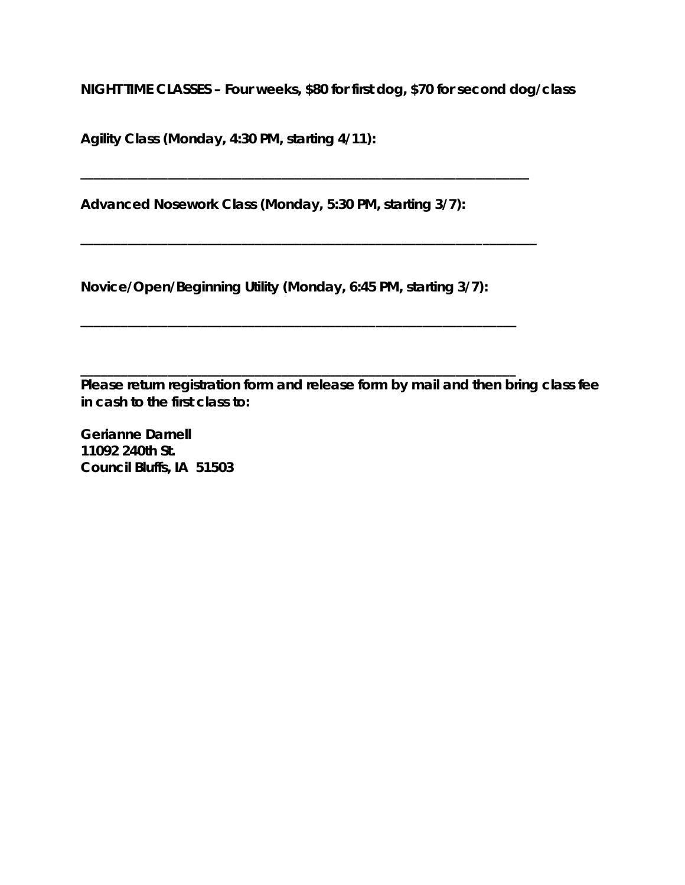**NIGHT TIME CLASSES – Four weeks, \$80 for first dog, \$70 for second dog/class**

**Agility Class (Monday, 4:30 PM, starting 4/11):** 

**Advanced Nosework Class (Monday, 5:30 PM, starting 3/7):** 

**\_\_\_\_\_\_\_\_\_\_\_\_\_\_\_\_\_\_\_\_\_\_\_\_\_\_\_\_\_\_\_\_\_\_\_\_\_\_\_\_\_\_\_\_\_\_\_\_\_\_\_\_\_\_\_\_\_\_\_\_\_\_\_\_\_\_\_**

**\_\_\_\_\_\_\_\_\_\_\_\_\_\_\_\_\_\_\_\_\_\_\_\_\_\_\_\_\_\_\_\_\_\_\_\_\_\_\_\_\_\_\_\_\_\_\_\_\_\_\_\_\_\_\_\_\_\_\_\_\_\_\_\_\_\_\_\_**

**Novice/Open/Beginning Utility (Monday, 6:45 PM, starting 3/7):** 

**\_\_\_\_\_\_\_\_\_\_\_\_\_\_\_\_\_\_\_\_\_\_\_\_\_\_\_\_\_\_\_\_\_\_\_\_\_\_\_\_\_\_\_\_\_\_\_\_\_\_\_\_\_\_\_\_\_\_\_\_\_\_\_\_\_**

**\_\_\_\_\_\_\_\_\_\_\_\_\_\_\_\_\_\_\_\_\_\_\_\_\_\_\_\_\_\_\_\_\_\_\_\_\_\_\_\_\_\_\_\_\_\_\_\_\_\_\_\_\_\_\_\_\_\_\_\_\_\_\_\_\_ Please return registration form and release form by mail and then bring class fee in cash to the first class to:** 

**Gerianne Darnell 11092 240th St. Council Bluffs, IA 51503**